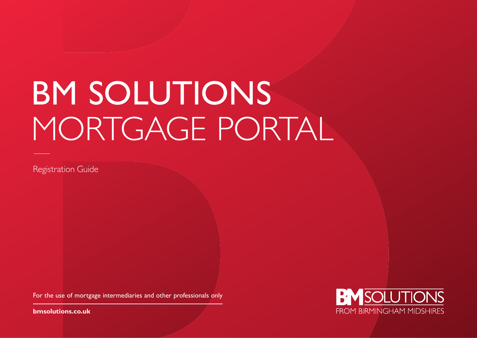# BM SOLUTIONS MORTGAGE PORTAL

Registration Guide

For the use of mortgage intermediaries and other professionals only

**[bmsolutions.co.uk](http://www.bmsolutions.co.uk)**

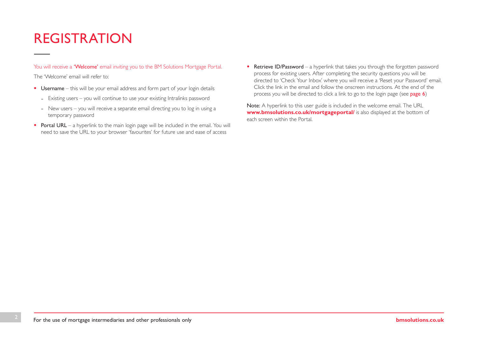## REGISTRATION

You will receive a 'Welcome' email inviting you to the BM Solutions Mortgage Portal.

The 'Welcome' email will refer to:

- Username this will be your email address and form part of your login details
	- Existing users you will continue to use your existing Intralinks password
	- New users you will receive a separate email directing you to log in using a temporary password
- Portal URL a hyperlink to the main login page will be included in the email. You will need to save the URL to your browser 'favourites' for future use and ease of access
- Retrieve ID/Password a hyperlink that takes you through the forgotten password process for existing users. After completing the security questions you will be directed to 'Check Your Inbox' where you will receive a 'Reset your Password' email. Click the link in the email and follow the onscreen instructions. At the end of the process you will be directed to click a link to go to the login page (see [page 6](#page-5-0))

Note: A hyperlink to this user guide is included in the welcome email. The URL **[www.bmsolutions.co.uk/mortgageportal/](http://www.bmsolutions.co.uk/mortgageportal/)** is also displayed at the bottom of each screen within the Portal.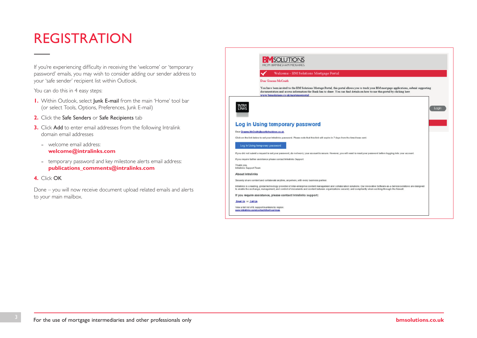## REGISTRATION

If you're experiencing difficulty in receiving the 'welcome' or 'temporary password' emails, you may wish to consider adding our sender address to your 'safe sender' recipient list within Outlook.

You can do this in 4 easy steps:

- **1.** Within Outlook, select **Junk E-mail** from the main 'Home' tool bar (or select Tools, Options, Preferences, Junk E-mail)
- **2.** Click the Safe Senders or Safe Recipients tab
- **3.** Click Add to enter email addresses from the following Intralink domain email addresses
	- welcome email address: **[welcome@intralinks.com](mailto:welcome%40intralinks.com?subject=)**
	- temporary password and key milestone alerts email address: **[publications\\_comments@intralinks.com](mailto:publications_comments%40intralinks.com?subject=)**

#### **4.** Click OK

Done – you will now receive document upload related emails and alerts to your main mailbox.

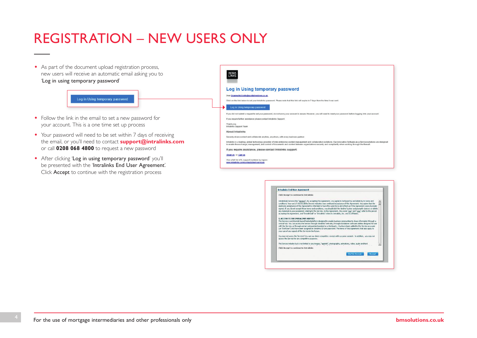# REGISTRATION – NEW USERS ONLY

• As part of the document upload registration process, new users will receive an automatic email asking you to 'Log in using temporary password'

### Log in Using temporary password

- Follow the link in the email to set a new password for your account. This is a one time set up process
- Your password will need to be set within 7 days of receiving the email, or you'll need to contact **[support@intralinks.com](mailto:support%40intralinks.com?subject=)** or call **0208 068 4800** to request a new password
- After clicking 'Log in using temporary password' you'll be presented with the 'Intralinks End User Agreement'. Click Accept to continue with the registration process

| <b>Log in Using temporary password</b>                                                                                                                                                                                                                                                                                                            |
|---------------------------------------------------------------------------------------------------------------------------------------------------------------------------------------------------------------------------------------------------------------------------------------------------------------------------------------------------|
| Dear Graeme McCraith@scotlishwidows.co.uk                                                                                                                                                                                                                                                                                                         |
| Click on the link below to set your Intralinks password. Please note that this link will expire in 7 days from the time it was sent.                                                                                                                                                                                                              |
| Log in Using temporary password                                                                                                                                                                                                                                                                                                                   |
| If you did not submit a request to set your password, do not worry your account is secure. However, you will need to reset your password before logging into your account.                                                                                                                                                                        |
| If you require further assistance please contact Intralinks Support.                                                                                                                                                                                                                                                                              |
| Thank you,<br>Intralinks Support Team                                                                                                                                                                                                                                                                                                             |
| <b>About Intralinks</b>                                                                                                                                                                                                                                                                                                                           |
| Securely share content and collaborate anytime, anywhere, with every business partner.                                                                                                                                                                                                                                                            |
| Intralinks is a leading, global technology provider of inter-enterprise content management and collaboration solutions. Our innovative Software-as-a-Service solutions are designed<br>to enable the exchange, management, and control of documents and content between organizations securely and compliantly when working through the firewall. |
| If you require assistance, please contact Intralinks support:                                                                                                                                                                                                                                                                                     |
| Email Us or Call Us                                                                                                                                                                                                                                                                                                                               |
| View a full list of IL support numbers by region:<br>www.intralinks.com/contact/client-services                                                                                                                                                                                                                                                   |

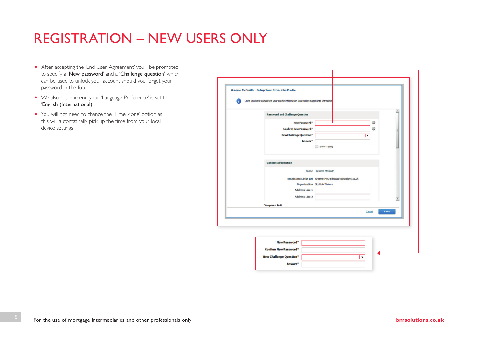# REGISTRATION – NEW USERS ONLY

- After accepting the 'End User Agreement' you'll be prompted to specify a 'New password' and a 'Challenge question' which can be used to unlock your account should you forget your password in the future
- We also recommend your 'Language Preference' is set to 'English (International)'
- You will not need to change the 'Time Zone' option as this will automatically pick up the time from your local device settings

| <b>New Password*</b><br><b>Confirm New Password*</b>              |                                                                                           | O      |      |
|-------------------------------------------------------------------|-------------------------------------------------------------------------------------------|--------|------|
|                                                                   |                                                                                           |        |      |
|                                                                   |                                                                                           | ⊙      |      |
| <b>New Challenge Question*</b><br>Answer*                         | $\bullet$                                                                                 |        |      |
|                                                                   | Show Typing                                                                               |        |      |
| <b>Address Line 1</b><br><b>Address Line 2</b><br>*Required field | Email(IntraLinks ID) Graeme.McCraith@scottishwidows.co.uk<br>Organization Scottish Widows |        | ۰    |
|                                                                   |                                                                                           | Cancel | Save |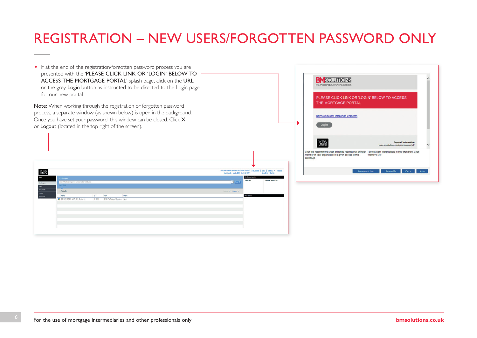# <span id="page-5-0"></span>REGISTRATION – NEW USERS/FORGOTTEN PASSWORD ONLY